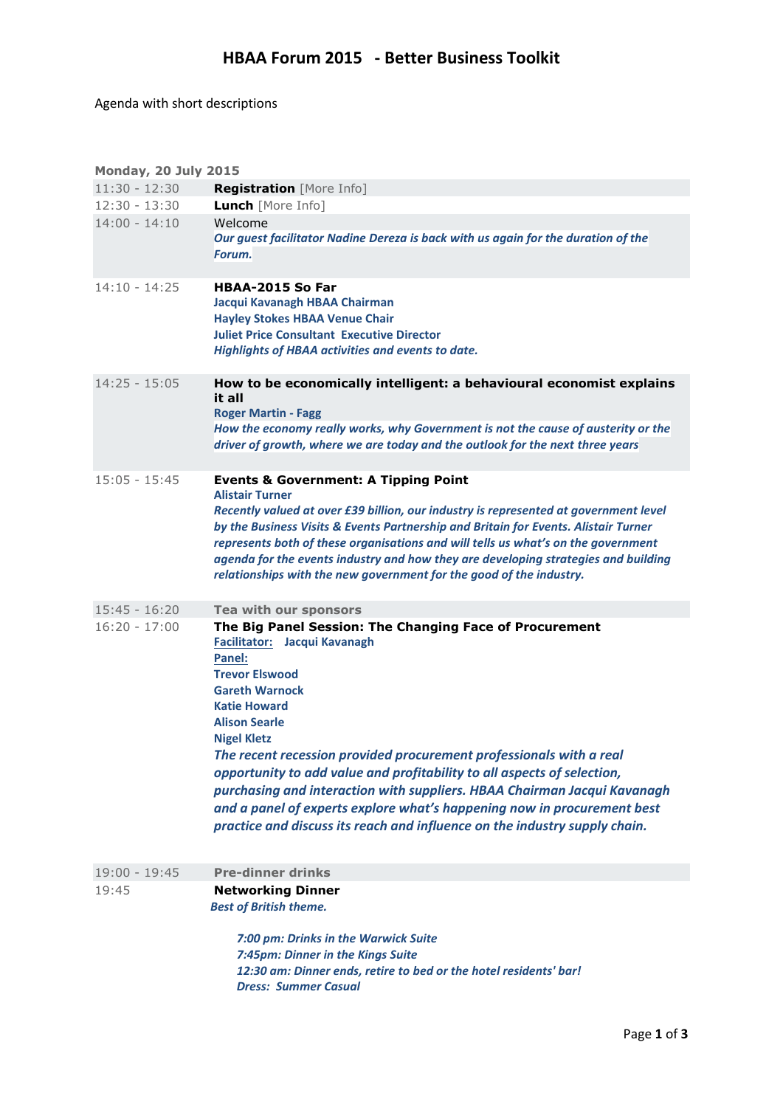Agenda with short descriptions

| <b>Monday, 20 July 2015</b> |                                                                                                                                                                                                                                                                                                                                                                                                                                                                                                                                                                                                                        |  |  |
|-----------------------------|------------------------------------------------------------------------------------------------------------------------------------------------------------------------------------------------------------------------------------------------------------------------------------------------------------------------------------------------------------------------------------------------------------------------------------------------------------------------------------------------------------------------------------------------------------------------------------------------------------------------|--|--|
| $11:30 - 12:30$             | <b>Registration</b> [More Info]                                                                                                                                                                                                                                                                                                                                                                                                                                                                                                                                                                                        |  |  |
| $12:30 - 13:30$             | <b>Lunch</b> [More Info]                                                                                                                                                                                                                                                                                                                                                                                                                                                                                                                                                                                               |  |  |
| $14:00 - 14:10$             | Welcome<br>Our guest facilitator Nadine Dereza is back with us again for the duration of the<br>Forum.                                                                                                                                                                                                                                                                                                                                                                                                                                                                                                                 |  |  |
| $14:10 - 14:25$             | HBAA-2015 So Far<br>Jacqui Kavanagh HBAA Chairman<br><b>Hayley Stokes HBAA Venue Chair</b><br><b>Juliet Price Consultant Executive Director</b><br>Highlights of HBAA activities and events to date.                                                                                                                                                                                                                                                                                                                                                                                                                   |  |  |
| $14:25 - 15:05$             | How to be economically intelligent: a behavioural economist explains<br>it all<br><b>Roger Martin - Fagg</b><br>How the economy really works, why Government is not the cause of austerity or the<br>driver of growth, where we are today and the outlook for the next three years                                                                                                                                                                                                                                                                                                                                     |  |  |
| $15:05 - 15:45$             | <b>Events &amp; Government: A Tipping Point</b><br><b>Alistair Turner</b><br>Recently valued at over £39 billion, our industry is represented at government level<br>by the Business Visits & Events Partnership and Britain for Events. Alistair Turner<br>represents both of these organisations and will tells us what's on the government<br>agenda for the events industry and how they are developing strategies and building<br>relationships with the new government for the good of the industry.                                                                                                             |  |  |
| $15:45 - 16:20$             | Tea with our sponsors                                                                                                                                                                                                                                                                                                                                                                                                                                                                                                                                                                                                  |  |  |
| $16:20 - 17:00$             | The Big Panel Session: The Changing Face of Procurement<br><b>Facilitator:</b> Jacqui Kavanagh<br>Panel:<br><b>Trevor Elswood</b><br><b>Gareth Warnock</b><br><b>Katie Howard</b><br><b>Alison Searle</b><br><b>Nigel Kletz</b><br>The recent recession provided procurement professionals with a real<br>opportunity to add value and profitability to all aspects of selection,<br>purchasing and interaction with suppliers. HBAA Chairman Jacqui Kavanagh<br>and a panel of experts explore what's happening now in procurement best<br>practice and discuss its reach and influence on the industry supply chain. |  |  |
| $19:00 - 19:45$             | <b>Pre-dinner drinks</b>                                                                                                                                                                                                                                                                                                                                                                                                                                                                                                                                                                                               |  |  |
| 19:45                       | <b>Networking Dinner</b><br><b>Best of British theme.</b><br>7:00 pm: Drinks in the Warwick Suite<br>7:45pm: Dinner in the Kings Suite                                                                                                                                                                                                                                                                                                                                                                                                                                                                                 |  |  |
|                             | 12:30 am: Dinner ends, retire to bed or the hotel residents' bar!<br><b>Dress: Summer Casual</b>                                                                                                                                                                                                                                                                                                                                                                                                                                                                                                                       |  |  |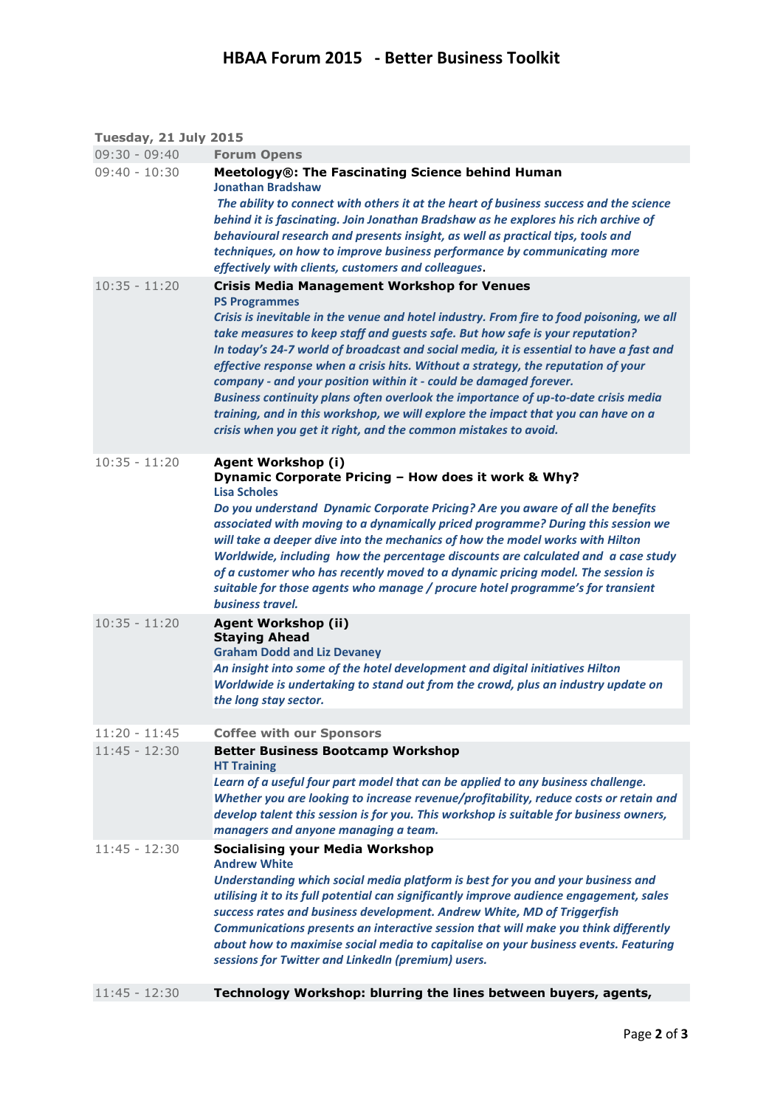| <b>Tuesday, 21 July 2015</b> |  |  |
|------------------------------|--|--|
|                              |  |  |

| $09:30 - 09:40$ | <b>Forum Opens</b>                                                                                                                                                                                                 |
|-----------------|--------------------------------------------------------------------------------------------------------------------------------------------------------------------------------------------------------------------|
| $09:40 - 10:30$ | Meetology®: The Fascinating Science behind Human<br>Jonathan Bradshaw                                                                                                                                              |
|                 | The ability to connect with others it at the heart of business success and the science<br>behind it is fascinating. Join Jonathan Bradshaw as he explores his rich archive of                                      |
|                 | behavioural research and presents insight, as well as practical tips, tools and<br>techniques, on how to improve business performance by communicating more<br>effectively with clients, customers and colleagues. |
| $10:35 - 11:20$ | <b>Crisis Media Management Workshop for Venues</b>                                                                                                                                                                 |
|                 | <b>PS Programmes</b>                                                                                                                                                                                               |
|                 | Crisis is inevitable in the venue and hotel industry. From fire to food poisoning, we all                                                                                                                          |
|                 | take measures to keep staff and guests safe. But how safe is your reputation?<br>In today's 24-7 world of broadcast and social media, it is essential to have a fast and                                           |
|                 | effective response when a crisis hits. Without a strategy, the reputation of your                                                                                                                                  |
|                 | company - and your position within it - could be damaged forever.                                                                                                                                                  |
|                 | Business continuity plans often overlook the importance of up-to-date crisis media                                                                                                                                 |
|                 | training, and in this workshop, we will explore the impact that you can have on a<br>crisis when you get it right, and the common mistakes to avoid.                                                               |
|                 |                                                                                                                                                                                                                    |
| $10:35 - 11:20$ | <b>Agent Workshop (i)</b><br>Dynamic Corporate Pricing - How does it work & Why?                                                                                                                                   |
|                 | <b>Lisa Scholes</b>                                                                                                                                                                                                |
|                 | Do you understand Dynamic Corporate Pricing? Are you aware of all the benefits<br>associated with moving to a dynamically priced programme? During this session we                                                 |
|                 | will take a deeper dive into the mechanics of how the model works with Hilton                                                                                                                                      |
|                 | Worldwide, including how the percentage discounts are calculated and a case study<br>of a customer who has recently moved to a dynamic pricing model. The session is                                               |
|                 | suitable for those agents who manage / procure hotel programme's for transient                                                                                                                                     |
|                 | business travel.                                                                                                                                                                                                   |
| $10:35 - 11:20$ | <b>Agent Workshop (ii)</b><br><b>Staying Ahead</b><br><b>Graham Dodd and Liz Devaney</b>                                                                                                                           |
|                 | An insight into some of the hotel development and digital initiatives Hilton                                                                                                                                       |
|                 | Worldwide is undertaking to stand out from the crowd, plus an industry update on                                                                                                                                   |
|                 | the long stay sector.                                                                                                                                                                                              |
| $11:20 - 11:45$ | <b>Coffee with our Sponsors</b>                                                                                                                                                                                    |
| $11:45 - 12:30$ | <b>Better Business Bootcamp Workshop</b><br><b>HT Training</b>                                                                                                                                                     |
|                 | Learn of a useful four part model that can be applied to any business challenge.                                                                                                                                   |
|                 | Whether you are looking to increase revenue/profitability, reduce costs or retain and<br>develop talent this session is for you. This workshop is suitable for business owners,                                    |
|                 | managers and anyone managing a team.                                                                                                                                                                               |
| $11:45 - 12:30$ | <b>Socialising your Media Workshop</b>                                                                                                                                                                             |
|                 | <b>Andrew White</b><br>Understanding which social media platform is best for you and your business and                                                                                                             |
|                 | utilising it to its full potential can significantly improve audience engagement, sales                                                                                                                            |
|                 | success rates and business development. Andrew White, MD of Triggerfish                                                                                                                                            |
|                 | Communications presents an interactive session that will make you think differently<br>about how to maximise social media to capitalise on your business events. Featuring                                         |
|                 | sessions for Twitter and LinkedIn (premium) users.                                                                                                                                                                 |
| $11:45 - 12:30$ | Technology Workshop: blurring the lines between buyers, agents,                                                                                                                                                    |
|                 |                                                                                                                                                                                                                    |